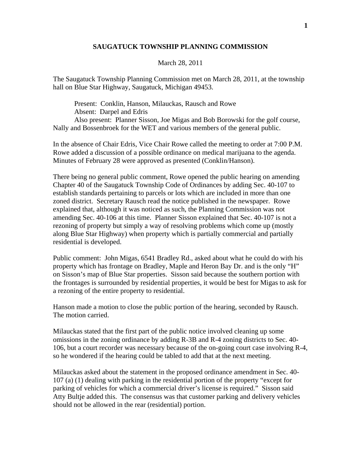## **SAUGATUCK TOWNSHIP PLANNING COMMISSION**

## March 28, 2011

The Saugatuck Township Planning Commission met on March 28, 2011, at the township hall on Blue Star Highway, Saugatuck, Michigan 49453.

 Present: Conklin, Hanson, Milauckas, Rausch and Rowe Absent: Darpel and Edris Also present: Planner Sisson, Joe Migas and Bob Borowski for the golf course, Nally and Bossenbroek for the WET and various members of the general public.

In the absence of Chair Edris, Vice Chair Rowe called the meeting to order at 7:00 P.M. Rowe added a discussion of a possible ordinance on medical marijuana to the agenda. Minutes of February 28 were approved as presented (Conklin/Hanson).

There being no general public comment, Rowe opened the public hearing on amending Chapter 40 of the Saugatuck Township Code of Ordinances by adding Sec. 40-107 to establish standards pertaining to parcels or lots which are included in more than one zoned district. Secretary Rausch read the notice published in the newspaper. Rowe explained that, although it was noticed as such, the Planning Commission was not amending Sec. 40-106 at this time. Planner Sisson explained that Sec. 40-107 is not a rezoning of property but simply a way of resolving problems which come up (mostly along Blue Star Highway) when property which is partially commercial and partially residential is developed.

Public comment: John Migas, 6541 Bradley Rd., asked about what he could do with his property which has frontage on Bradley, Maple and Heron Bay Dr. and is the only "H" on Sisson's map of Blue Star properties. Sisson said because the southern portion with the frontages is surrounded by residential properties, it would be best for Migas to ask for a rezoning of the entire property to residential.

Hanson made a motion to close the public portion of the hearing, seconded by Rausch. The motion carried.

Milauckas stated that the first part of the public notice involved cleaning up some omissions in the zoning ordinance by adding R-3B and R-4 zoning districts to Sec. 40- 106, but a court recorder was necessary because of the on-going court case involving R-4, so he wondered if the hearing could be tabled to add that at the next meeting.

Milauckas asked about the statement in the proposed ordinance amendment in Sec. 40- 107 (a) (1) dealing with parking in the residential portion of the property "except for parking of vehicles for which a commercial driver's license is required." Sisson said Atty Bultje added this. The consensus was that customer parking and delivery vehicles should not be allowed in the rear (residential) portion.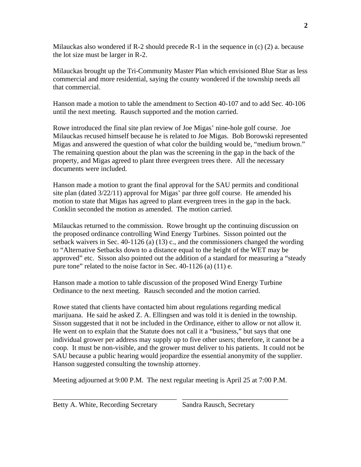Milauckas also wondered if R-2 should precede R-1 in the sequence in  $(c)$  (2) a. because the lot size must be larger in R-2.

Milauckas brought up the Tri-Community Master Plan which envisioned Blue Star as less commercial and more residential, saying the county wondered if the township needs all that commercial.

Hanson made a motion to table the amendment to Section 40-107 and to add Sec. 40-106 until the next meeting. Rausch supported and the motion carried.

Rowe introduced the final site plan review of Joe Migas' nine-hole golf course. Joe Milauckas recused himself because he is related to Joe Migas. Bob Borowski represented Migas and answered the question of what color the building would be, "medium brown." The remaining question about the plan was the screening in the gap in the back of the property, and Migas agreed to plant three evergreen trees there. All the necessary documents were included.

Hanson made a motion to grant the final approval for the SAU permits and conditional site plan (dated 3/22/11) approval for Migas' par three golf course. He amended his motion to state that Migas has agreed to plant evergreen trees in the gap in the back. Conklin seconded the motion as amended. The motion carried.

Milauckas returned to the commission. Rowe brought up the continuing discussion on the proposed ordinance controlling Wind Energy Turbines. Sisson pointed out the setback waivers in Sec. 40-1126 (a) (13) c., and the commissioners changed the wording to "Alternative Setbacks down to a distance equal to the height of the WET may be approved" etc. Sisson also pointed out the addition of a standard for measuring a "steady pure tone" related to the noise factor in Sec. 40-1126 (a) (11) e.

Hanson made a motion to table discussion of the proposed Wind Energy Turbine Ordinance to the next meeting. Rausch seconded and the motion carried.

Rowe stated that clients have contacted him about regulations regarding medical marijuana. He said he asked Z. A. Ellingsen and was told it is denied in the township. Sisson suggested that it not be included in the Ordinance, either to allow or not allow it. He went on to explain that the Statute does not call it a "business," but says that one individual grower per address may supply up to five other users; therefore, it cannot be a coop. It must be non-visible, and the grower must deliver to his patients. It could not be SAU because a public hearing would jeopardize the essential anonymity of the supplier. Hanson suggested consulting the township attorney.

Meeting adjourned at 9:00 P.M. The next regular meeting is April 25 at 7:00 P.M.

\_\_\_\_\_\_\_\_\_\_\_\_\_\_\_\_\_\_\_\_\_\_\_\_\_\_\_\_\_\_\_\_\_\_\_ \_\_\_\_\_\_\_\_\_\_\_\_\_\_\_\_\_\_\_\_\_\_\_\_\_\_\_\_\_\_